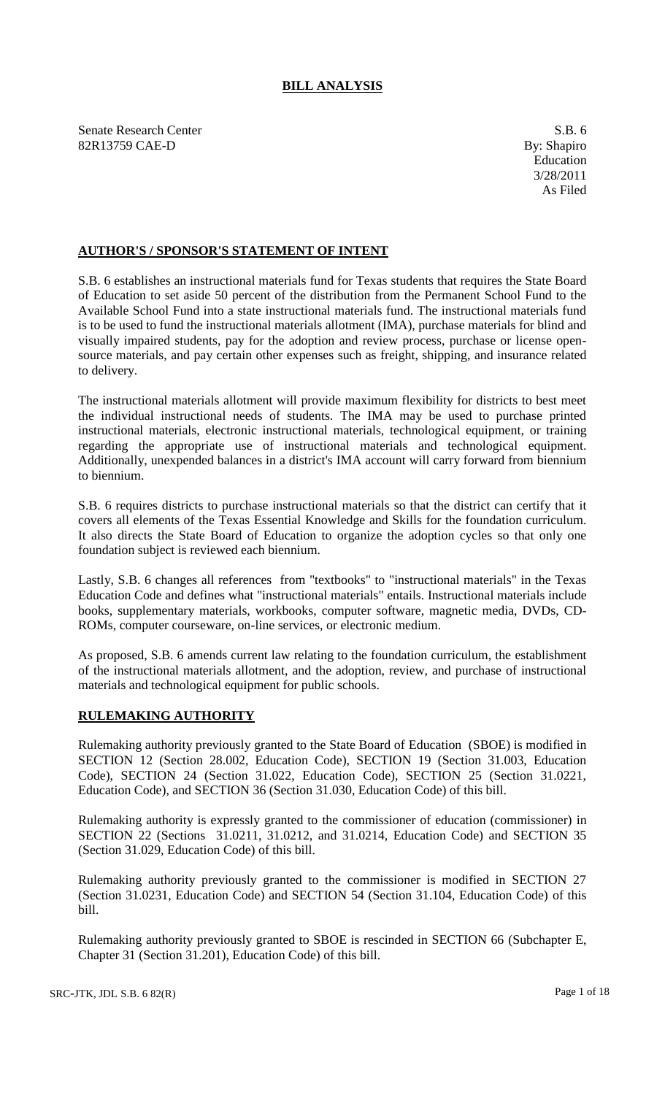# **BILL ANALYSIS**

Senate Research Center S.B. 6 82R13759 CAE-D By: Shapiro

# **AUTHOR'S / SPONSOR'S STATEMENT OF INTENT**

S.B. 6 establishes an instructional materials fund for Texas students that requires the State Board of Education to set aside 50 percent of the distribution from the Permanent School Fund to the Available School Fund into a state instructional materials fund. The instructional materials fund is to be used to fund the instructional materials allotment (IMA), purchase materials for blind and visually impaired students, pay for the adoption and review process, purchase or license opensource materials, and pay certain other expenses such as freight, shipping, and insurance related to delivery.

The instructional materials allotment will provide maximum flexibility for districts to best meet the individual instructional needs of students. The IMA may be used to purchase printed instructional materials, electronic instructional materials, technological equipment, or training regarding the appropriate use of instructional materials and technological equipment. Additionally, unexpended balances in a district's IMA account will carry forward from biennium to biennium.

S.B. 6 requires districts to purchase instructional materials so that the district can certify that it covers all elements of the Texas Essential Knowledge and Skills for the foundation curriculum. It also directs the State Board of Education to organize the adoption cycles so that only one foundation subject is reviewed each biennium.

Lastly, S.B. 6 changes all references from "textbooks" to "instructional materials" in the Texas Education Code and defines what "instructional materials" entails. Instructional materials include books, supplementary materials, workbooks, computer software, magnetic media, DVDs, CD-ROMs, computer courseware, on-line services, or electronic medium.

As proposed, S.B. 6 amends current law relating to the foundation curriculum, the establishment of the instructional materials allotment, and the adoption, review, and purchase of instructional materials and technological equipment for public schools.

# **RULEMAKING AUTHORITY**

Rulemaking authority previously granted to the State Board of Education (SBOE) is modified in SECTION 12 (Section 28.002, Education Code), SECTION 19 (Section 31.003, Education Code), SECTION 24 (Section 31.022, Education Code), SECTION 25 (Section 31.0221, Education Code), and SECTION 36 (Section 31.030, Education Code) of this bill.

Rulemaking authority is expressly granted to the commissioner of education (commissioner) in SECTION 22 (Sections 31.0211, 31.0212, and 31.0214, Education Code) and SECTION 35 (Section 31.029, Education Code) of this bill.

Rulemaking authority previously granted to the commissioner is modified in SECTION 27 (Section 31.0231, Education Code) and SECTION 54 (Section 31.104, Education Code) of this bill.

Rulemaking authority previously granted to SBOE is rescinded in SECTION 66 (Subchapter E, Chapter 31 (Section 31.201), Education Code) of this bill.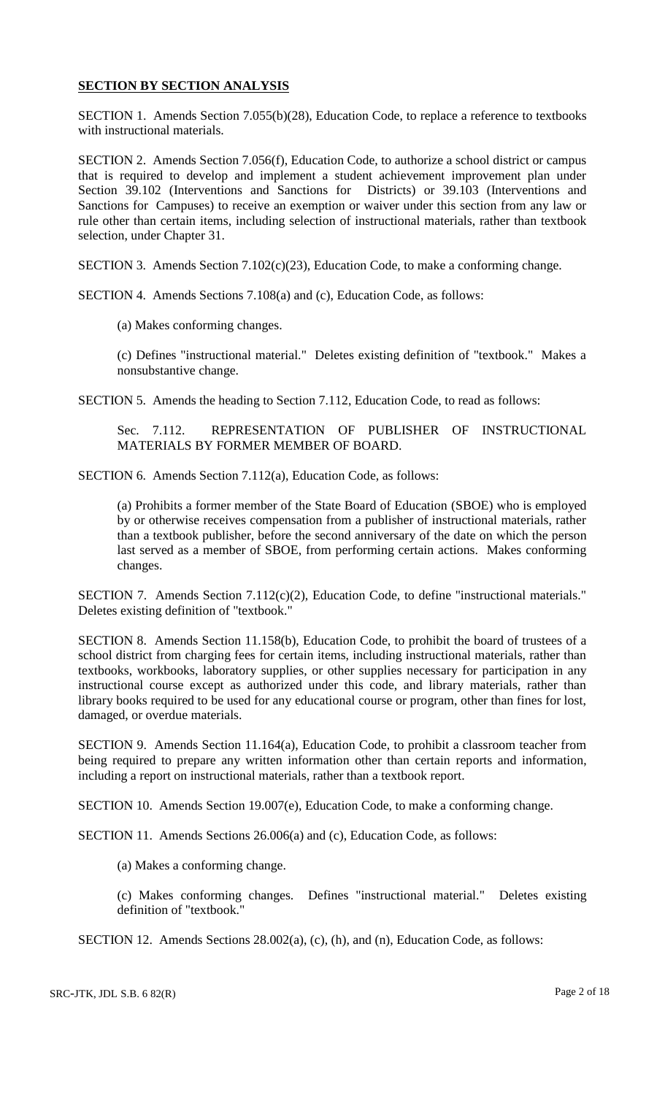# **SECTION BY SECTION ANALYSIS**

SECTION 1. Amends Section 7.055(b)(28), Education Code, to replace a reference to textbooks with instructional materials.

SECTION 2. Amends Section 7.056(f), Education Code, to authorize a school district or campus that is required to develop and implement a student achievement improvement plan under Section 39.102 (Interventions and Sanctions for Districts) or 39.103 (Interventions and Sanctions for Campuses) to receive an exemption or waiver under this section from any law or rule other than certain items, including selection of instructional materials, rather than textbook selection, under Chapter 31.

SECTION 3. Amends Section 7.102(c)(23), Education Code, to make a conforming change.

SECTION 4. Amends Sections 7.108(a) and (c), Education Code, as follows:

(a) Makes conforming changes.

(c) Defines "instructional material." Deletes existing definition of "textbook." Makes a nonsubstantive change.

SECTION 5. Amends the heading to Section 7.112, Education Code, to read as follows:

Sec. 7.112. REPRESENTATION OF PUBLISHER OF INSTRUCTIONAL MATERIALS BY FORMER MEMBER OF BOARD.

SECTION 6. Amends Section 7.112(a), Education Code, as follows:

(a) Prohibits a former member of the State Board of Education (SBOE) who is employed by or otherwise receives compensation from a publisher of instructional materials, rather than a textbook publisher, before the second anniversary of the date on which the person last served as a member of SBOE, from performing certain actions. Makes conforming changes.

SECTION 7. Amends Section 7.112(c)(2), Education Code, to define "instructional materials." Deletes existing definition of "textbook."

SECTION 8. Amends Section 11.158(b), Education Code, to prohibit the board of trustees of a school district from charging fees for certain items, including instructional materials, rather than textbooks, workbooks, laboratory supplies, or other supplies necessary for participation in any instructional course except as authorized under this code, and library materials, rather than library books required to be used for any educational course or program, other than fines for lost, damaged, or overdue materials.

SECTION 9. Amends Section 11.164(a), Education Code, to prohibit a classroom teacher from being required to prepare any written information other than certain reports and information, including a report on instructional materials, rather than a textbook report.

SECTION 10. Amends Section 19.007(e), Education Code, to make a conforming change.

SECTION 11. Amends Sections 26.006(a) and (c), Education Code, as follows:

(a) Makes a conforming change.

(c) Makes conforming changes. Defines "instructional material." Deletes existing definition of "textbook."

SECTION 12. Amends Sections 28.002(a), (c), (h), and (n), Education Code, as follows: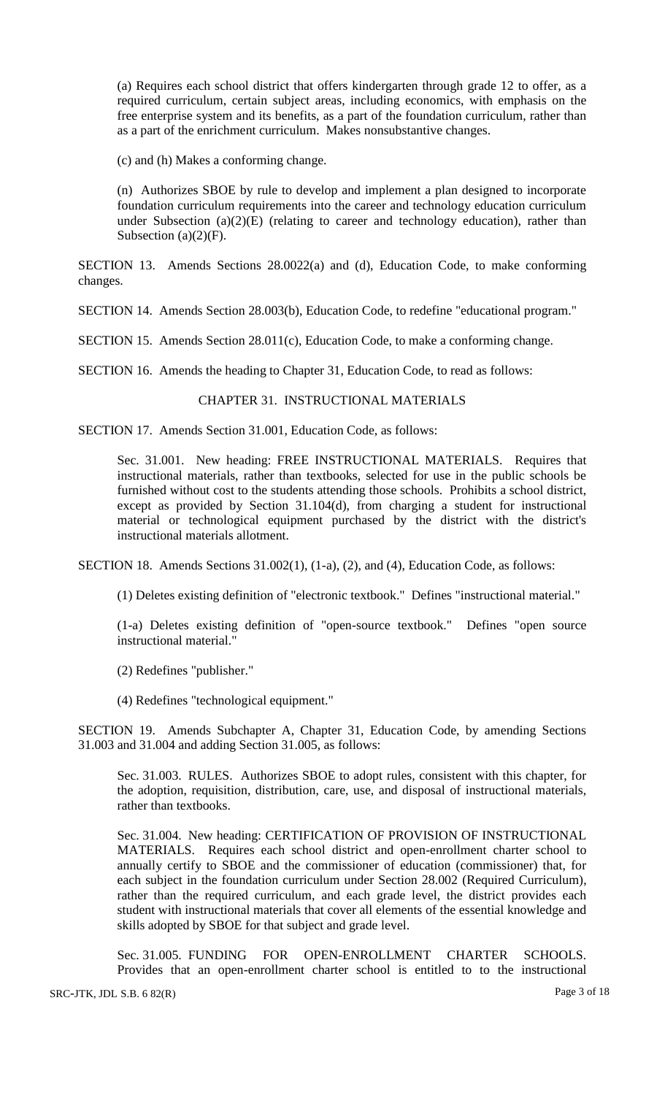(a) Requires each school district that offers kindergarten through grade 12 to offer, as a required curriculum, certain subject areas, including economics, with emphasis on the free enterprise system and its benefits, as a part of the foundation curriculum, rather than as a part of the enrichment curriculum. Makes nonsubstantive changes.

(c) and (h) Makes a conforming change.

(n) Authorizes SBOE by rule to develop and implement a plan designed to incorporate foundation curriculum requirements into the career and technology education curriculum under Subsection  $(a)(2)(E)$  (relating to career and technology education), rather than Subsection  $(a)(2)(F)$ .

SECTION 13. Amends Sections 28.0022(a) and (d), Education Code, to make conforming changes.

SECTION 14. Amends Section 28.003(b), Education Code, to redefine "educational program."

SECTION 15. Amends Section 28.011(c), Education Code, to make a conforming change.

SECTION 16. Amends the heading to Chapter 31, Education Code, to read as follows:

### CHAPTER 31. INSTRUCTIONAL MATERIALS

SECTION 17. Amends Section 31.001, Education Code, as follows:

Sec. 31.001. New heading: FREE INSTRUCTIONAL MATERIALS. Requires that instructional materials, rather than textbooks, selected for use in the public schools be furnished without cost to the students attending those schools. Prohibits a school district, except as provided by Section 31.104(d), from charging a student for instructional material or technological equipment purchased by the district with the district's instructional materials allotment.

SECTION 18. Amends Sections 31.002(1), (1-a), (2), and (4), Education Code, as follows:

(1) Deletes existing definition of "electronic textbook." Defines "instructional material."

(1-a) Deletes existing definition of "open-source textbook." Defines "open source instructional material."

(2) Redefines "publisher."

(4) Redefines "technological equipment."

SECTION 19. Amends Subchapter A, Chapter 31, Education Code, by amending Sections 31.003 and 31.004 and adding Section 31.005, as follows:

Sec. 31.003. RULES. Authorizes SBOE to adopt rules, consistent with this chapter, for the adoption, requisition, distribution, care, use, and disposal of instructional materials, rather than textbooks.

Sec. 31.004. New heading: CERTIFICATION OF PROVISION OF INSTRUCTIONAL MATERIALS. Requires each school district and open-enrollment charter school to annually certify to SBOE and the commissioner of education (commissioner) that, for each subject in the foundation curriculum under Section 28.002 (Required Curriculum), rather than the required curriculum, and each grade level, the district provides each student with instructional materials that cover all elements of the essential knowledge and skills adopted by SBOE for that subject and grade level.

Sec. 31.005. FUNDING FOR OPEN-ENROLLMENT CHARTER SCHOOLS. Provides that an open-enrollment charter school is entitled to to the instructional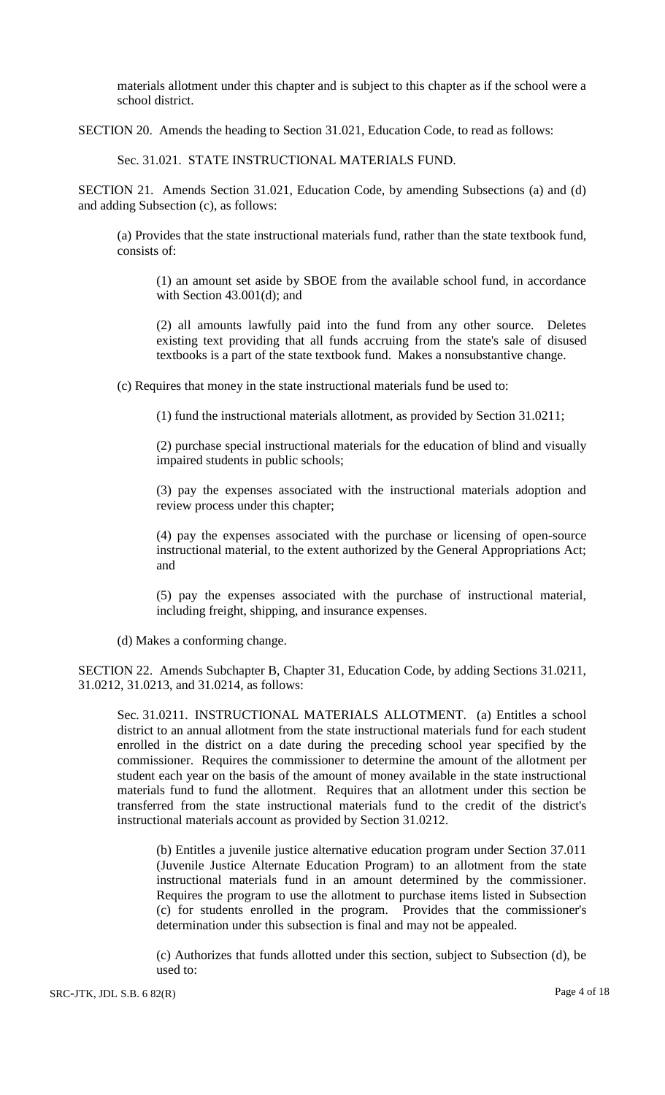materials allotment under this chapter and is subject to this chapter as if the school were a school district.

SECTION 20. Amends the heading to Section 31.021, Education Code, to read as follows:

Sec. 31.021. STATE INSTRUCTIONAL MATERIALS FUND.

SECTION 21. Amends Section 31.021, Education Code, by amending Subsections (a) and (d) and adding Subsection (c), as follows:

(a) Provides that the state instructional materials fund, rather than the state textbook fund, consists of:

(1) an amount set aside by SBOE from the available school fund, in accordance with Section 43.001(d); and

(2) all amounts lawfully paid into the fund from any other source. Deletes existing text providing that all funds accruing from the state's sale of disused textbooks is a part of the state textbook fund. Makes a nonsubstantive change.

(c) Requires that money in the state instructional materials fund be used to:

(1) fund the instructional materials allotment, as provided by Section 31.0211;

(2) purchase special instructional materials for the education of blind and visually impaired students in public schools;

(3) pay the expenses associated with the instructional materials adoption and review process under this chapter;

(4) pay the expenses associated with the purchase or licensing of open-source instructional material, to the extent authorized by the General Appropriations Act; and

(5) pay the expenses associated with the purchase of instructional material, including freight, shipping, and insurance expenses.

(d) Makes a conforming change.

SECTION 22. Amends Subchapter B, Chapter 31, Education Code, by adding Sections 31.0211, 31.0212, 31.0213, and 31.0214, as follows:

Sec. 31.0211. INSTRUCTIONAL MATERIALS ALLOTMENT. (a) Entitles a school district to an annual allotment from the state instructional materials fund for each student enrolled in the district on a date during the preceding school year specified by the commissioner. Requires the commissioner to determine the amount of the allotment per student each year on the basis of the amount of money available in the state instructional materials fund to fund the allotment. Requires that an allotment under this section be transferred from the state instructional materials fund to the credit of the district's instructional materials account as provided by Section 31.0212.

(b) Entitles a juvenile justice alternative education program under Section 37.011 (Juvenile Justice Alternate Education Program) to an allotment from the state instructional materials fund in an amount determined by the commissioner. Requires the program to use the allotment to purchase items listed in Subsection (c) for students enrolled in the program. Provides that the commissioner's determination under this subsection is final and may not be appealed.

(c) Authorizes that funds allotted under this section, subject to Subsection (d), be used to: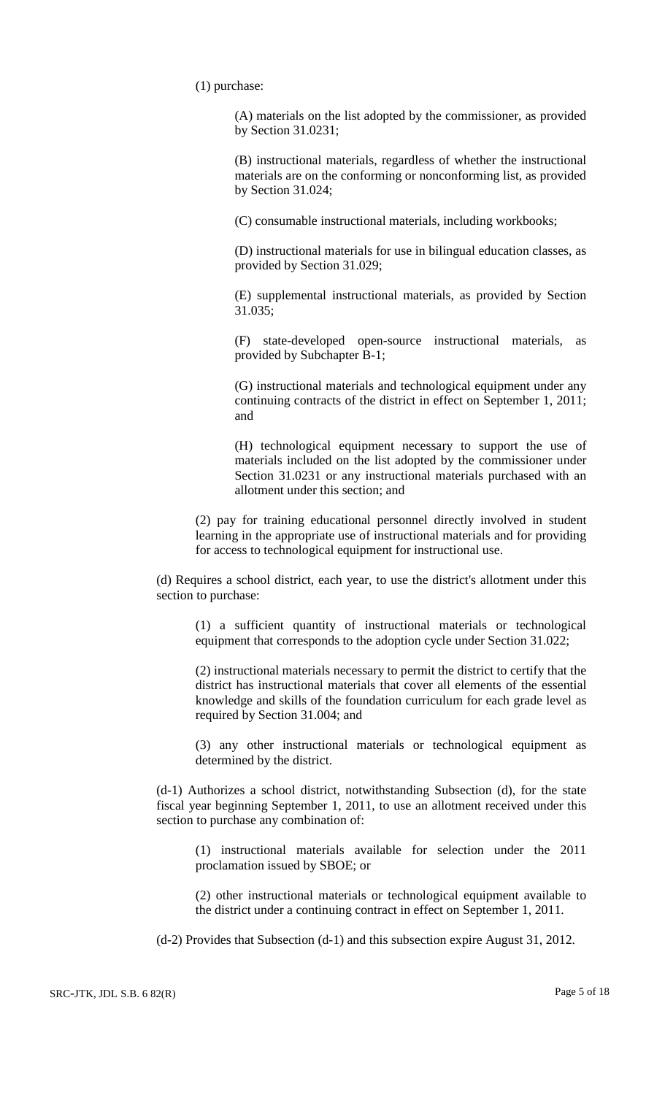(1) purchase:

(A) materials on the list adopted by the commissioner, as provided by Section 31.0231;

(B) instructional materials, regardless of whether the instructional materials are on the conforming or nonconforming list, as provided by Section 31.024;

(C) consumable instructional materials, including workbooks;

(D) instructional materials for use in bilingual education classes, as provided by Section 31.029;

(E) supplemental instructional materials, as provided by Section 31.035;

(F) state-developed open-source instructional materials, as provided by Subchapter B-1;

(G) instructional materials and technological equipment under any continuing contracts of the district in effect on September 1, 2011; and

(H) technological equipment necessary to support the use of materials included on the list adopted by the commissioner under Section 31.0231 or any instructional materials purchased with an allotment under this section; and

(2) pay for training educational personnel directly involved in student learning in the appropriate use of instructional materials and for providing for access to technological equipment for instructional use.

(d) Requires a school district, each year, to use the district's allotment under this section to purchase:

(1) a sufficient quantity of instructional materials or technological equipment that corresponds to the adoption cycle under Section 31.022;

(2) instructional materials necessary to permit the district to certify that the district has instructional materials that cover all elements of the essential knowledge and skills of the foundation curriculum for each grade level as required by Section 31.004; and

(3) any other instructional materials or technological equipment as determined by the district.

(d-1) Authorizes a school district, notwithstanding Subsection (d), for the state fiscal year beginning September 1, 2011, to use an allotment received under this section to purchase any combination of:

(1) instructional materials available for selection under the 2011 proclamation issued by SBOE; or

(2) other instructional materials or technological equipment available to the district under a continuing contract in effect on September 1, 2011.

(d-2) Provides that Subsection (d-1) and this subsection expire August 31, 2012.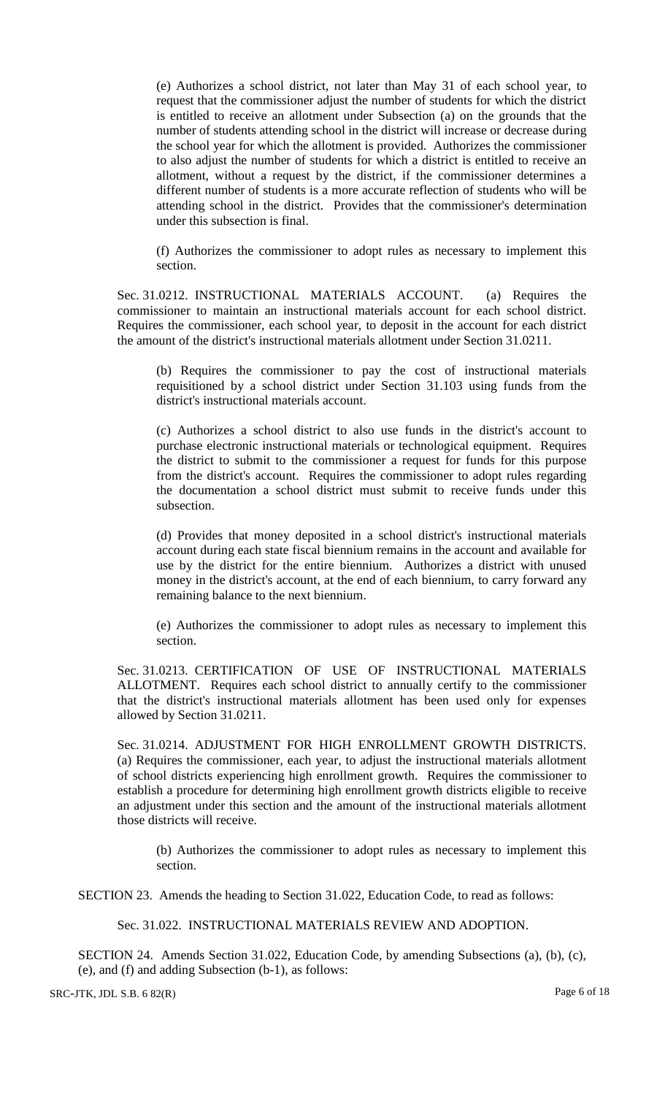(e) Authorizes a school district, not later than May 31 of each school year, to request that the commissioner adjust the number of students for which the district is entitled to receive an allotment under Subsection (a) on the grounds that the number of students attending school in the district will increase or decrease during the school year for which the allotment is provided. Authorizes the commissioner to also adjust the number of students for which a district is entitled to receive an allotment, without a request by the district, if the commissioner determines a different number of students is a more accurate reflection of students who will be attending school in the district. Provides that the commissioner's determination under this subsection is final.

(f) Authorizes the commissioner to adopt rules as necessary to implement this section.

Sec. 31.0212. INSTRUCTIONAL MATERIALS ACCOUNT. (a) Requires the commissioner to maintain an instructional materials account for each school district. Requires the commissioner, each school year, to deposit in the account for each district the amount of the district's instructional materials allotment under Section 31.0211.

(b) Requires the commissioner to pay the cost of instructional materials requisitioned by a school district under Section 31.103 using funds from the district's instructional materials account.

(c) Authorizes a school district to also use funds in the district's account to purchase electronic instructional materials or technological equipment. Requires the district to submit to the commissioner a request for funds for this purpose from the district's account. Requires the commissioner to adopt rules regarding the documentation a school district must submit to receive funds under this subsection.

(d) Provides that money deposited in a school district's instructional materials account during each state fiscal biennium remains in the account and available for use by the district for the entire biennium. Authorizes a district with unused money in the district's account, at the end of each biennium, to carry forward any remaining balance to the next biennium.

(e) Authorizes the commissioner to adopt rules as necessary to implement this section.

Sec. 31.0213. CERTIFICATION OF USE OF INSTRUCTIONAL MATERIALS ALLOTMENT. Requires each school district to annually certify to the commissioner that the district's instructional materials allotment has been used only for expenses allowed by Section 31.0211.

Sec. 31.0214. ADJUSTMENT FOR HIGH ENROLLMENT GROWTH DISTRICTS. (a) Requires the commissioner, each year, to adjust the instructional materials allotment of school districts experiencing high enrollment growth. Requires the commissioner to establish a procedure for determining high enrollment growth districts eligible to receive an adjustment under this section and the amount of the instructional materials allotment those districts will receive.

(b) Authorizes the commissioner to adopt rules as necessary to implement this section.

SECTION 23. Amends the heading to Section 31.022, Education Code, to read as follows:

Sec. 31.022. INSTRUCTIONAL MATERIALS REVIEW AND ADOPTION.

SECTION 24. Amends Section 31.022, Education Code, by amending Subsections (a), (b), (c), (e), and (f) and adding Subsection (b-1), as follows:

SRC-JTK, JDL S.B. 6 82(R) Page 6 of 18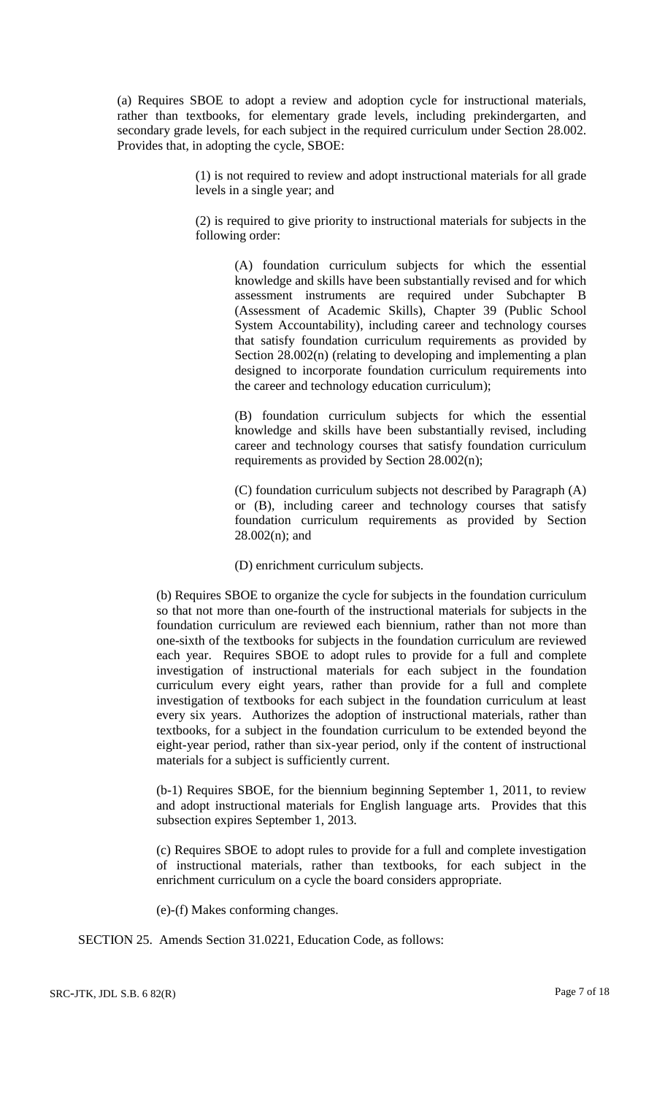(a) Requires SBOE to adopt a review and adoption cycle for instructional materials, rather than textbooks, for elementary grade levels, including prekindergarten, and secondary grade levels, for each subject in the required curriculum under Section 28.002. Provides that, in adopting the cycle, SBOE:

> (1) is not required to review and adopt instructional materials for all grade levels in a single year; and

> (2) is required to give priority to instructional materials for subjects in the following order:

(A) foundation curriculum subjects for which the essential knowledge and skills have been substantially revised and for which assessment instruments are required under Subchapter B (Assessment of Academic Skills), Chapter 39 (Public School System Accountability), including career and technology courses that satisfy foundation curriculum requirements as provided by Section 28.002(n) (relating to developing and implementing a plan designed to incorporate foundation curriculum requirements into the career and technology education curriculum);

(B) foundation curriculum subjects for which the essential knowledge and skills have been substantially revised, including career and technology courses that satisfy foundation curriculum requirements as provided by Section 28.002(n);

(C) foundation curriculum subjects not described by Paragraph (A) or (B), including career and technology courses that satisfy foundation curriculum requirements as provided by Section 28.002(n); and

(D) enrichment curriculum subjects.

(b) Requires SBOE to organize the cycle for subjects in the foundation curriculum so that not more than one-fourth of the instructional materials for subjects in the foundation curriculum are reviewed each biennium, rather than not more than one-sixth of the textbooks for subjects in the foundation curriculum are reviewed each year. Requires SBOE to adopt rules to provide for a full and complete investigation of instructional materials for each subject in the foundation curriculum every eight years, rather than provide for a full and complete investigation of textbooks for each subject in the foundation curriculum at least every six years. Authorizes the adoption of instructional materials, rather than textbooks, for a subject in the foundation curriculum to be extended beyond the eight-year period, rather than six-year period, only if the content of instructional materials for a subject is sufficiently current.

(b-1) Requires SBOE, for the biennium beginning September 1, 2011, to review and adopt instructional materials for English language arts. Provides that this subsection expires September 1, 2013.

(c) Requires SBOE to adopt rules to provide for a full and complete investigation of instructional materials, rather than textbooks, for each subject in the enrichment curriculum on a cycle the board considers appropriate.

(e)-(f) Makes conforming changes.

SECTION 25. Amends Section 31.0221, Education Code, as follows: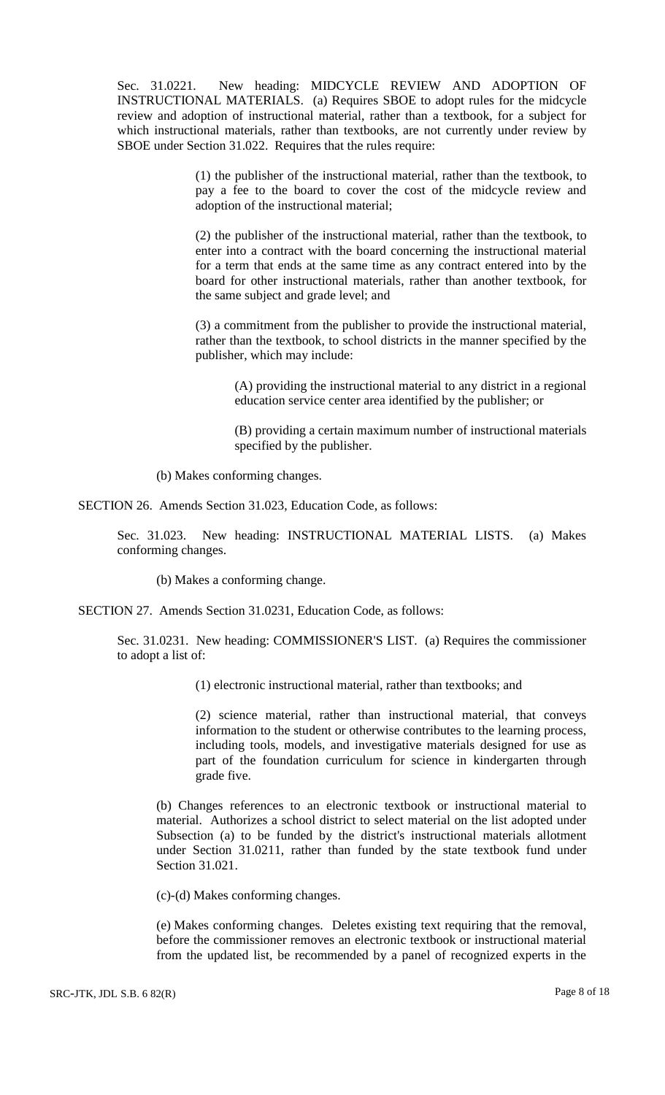Sec. 31.0221. New heading: MIDCYCLE REVIEW AND ADOPTION OF INSTRUCTIONAL MATERIALS. (a) Requires SBOE to adopt rules for the midcycle review and adoption of instructional material, rather than a textbook, for a subject for which instructional materials, rather than textbooks, are not currently under review by SBOE under Section 31.022. Requires that the rules require:

> (1) the publisher of the instructional material, rather than the textbook, to pay a fee to the board to cover the cost of the midcycle review and adoption of the instructional material;

> (2) the publisher of the instructional material, rather than the textbook, to enter into a contract with the board concerning the instructional material for a term that ends at the same time as any contract entered into by the board for other instructional materials, rather than another textbook, for the same subject and grade level; and

> (3) a commitment from the publisher to provide the instructional material, rather than the textbook, to school districts in the manner specified by the publisher, which may include:

(A) providing the instructional material to any district in a regional education service center area identified by the publisher; or

(B) providing a certain maximum number of instructional materials specified by the publisher.

(b) Makes conforming changes.

SECTION 26. Amends Section 31.023, Education Code, as follows:

Sec. 31.023. New heading: INSTRUCTIONAL MATERIAL LISTS. (a) Makes conforming changes.

(b) Makes a conforming change.

SECTION 27. Amends Section 31.0231, Education Code, as follows:

Sec. 31.0231. New heading: COMMISSIONER'S LIST. (a) Requires the commissioner to adopt a list of:

(1) electronic instructional material, rather than textbooks; and

(2) science material, rather than instructional material, that conveys information to the student or otherwise contributes to the learning process, including tools, models, and investigative materials designed for use as part of the foundation curriculum for science in kindergarten through grade five.

(b) Changes references to an electronic textbook or instructional material to material. Authorizes a school district to select material on the list adopted under Subsection (a) to be funded by the district's instructional materials allotment under Section 31.0211, rather than funded by the state textbook fund under Section 31.021.

(c)-(d) Makes conforming changes.

(e) Makes conforming changes. Deletes existing text requiring that the removal, before the commissioner removes an electronic textbook or instructional material from the updated list, be recommended by a panel of recognized experts in the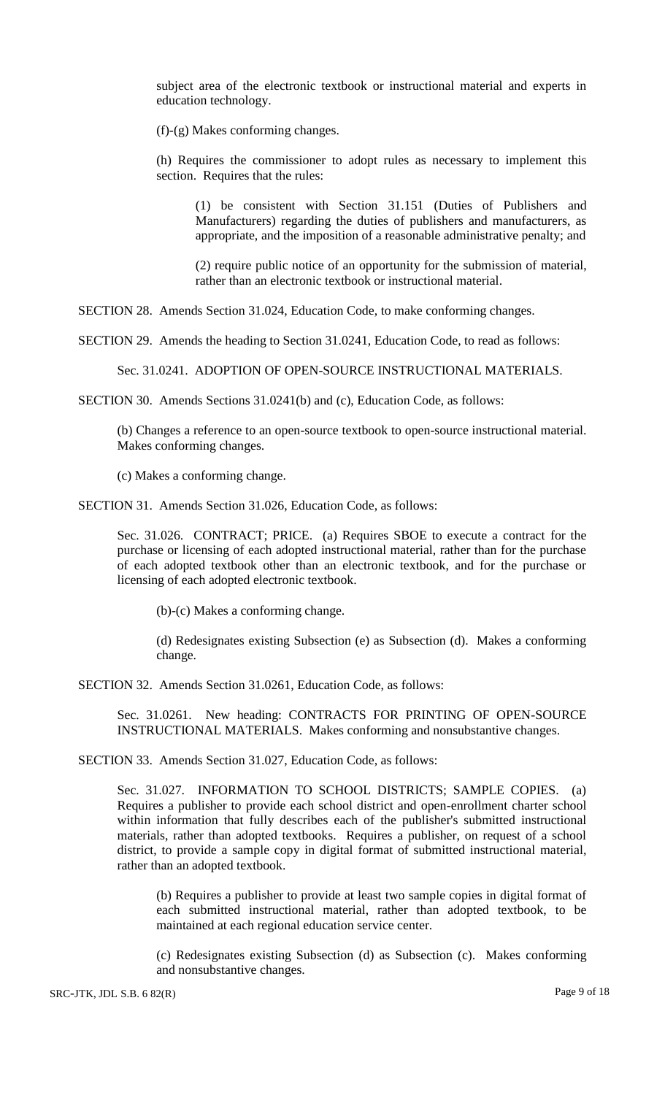subject area of the electronic textbook or instructional material and experts in education technology.

(f)-(g) Makes conforming changes.

(h) Requires the commissioner to adopt rules as necessary to implement this section. Requires that the rules:

(1) be consistent with Section 31.151 (Duties of Publishers and Manufacturers) regarding the duties of publishers and manufacturers, as appropriate, and the imposition of a reasonable administrative penalty; and

(2) require public notice of an opportunity for the submission of material, rather than an electronic textbook or instructional material.

SECTION 28. Amends Section 31.024, Education Code, to make conforming changes.

SECTION 29. Amends the heading to Section 31.0241, Education Code, to read as follows:

Sec. 31.0241. ADOPTION OF OPEN-SOURCE INSTRUCTIONAL MATERIALS.

SECTION 30. Amends Sections 31.0241(b) and (c), Education Code, as follows:

(b) Changes a reference to an open-source textbook to open-source instructional material. Makes conforming changes.

(c) Makes a conforming change.

SECTION 31. Amends Section 31.026, Education Code, as follows:

Sec. 31.026. CONTRACT; PRICE. (a) Requires SBOE to execute a contract for the purchase or licensing of each adopted instructional material, rather than for the purchase of each adopted textbook other than an electronic textbook, and for the purchase or licensing of each adopted electronic textbook.

(b)-(c) Makes a conforming change.

(d) Redesignates existing Subsection (e) as Subsection (d). Makes a conforming change.

SECTION 32. Amends Section 31.0261, Education Code, as follows:

Sec. 31.0261. New heading: CONTRACTS FOR PRINTING OF OPEN-SOURCE INSTRUCTIONAL MATERIALS. Makes conforming and nonsubstantive changes.

SECTION 33. Amends Section 31.027, Education Code, as follows:

Sec. 31.027. INFORMATION TO SCHOOL DISTRICTS; SAMPLE COPIES. (a) Requires a publisher to provide each school district and open-enrollment charter school within information that fully describes each of the publisher's submitted instructional materials, rather than adopted textbooks. Requires a publisher, on request of a school district, to provide a sample copy in digital format of submitted instructional material, rather than an adopted textbook.

(b) Requires a publisher to provide at least two sample copies in digital format of each submitted instructional material, rather than adopted textbook, to be maintained at each regional education service center.

(c) Redesignates existing Subsection (d) as Subsection (c). Makes conforming and nonsubstantive changes.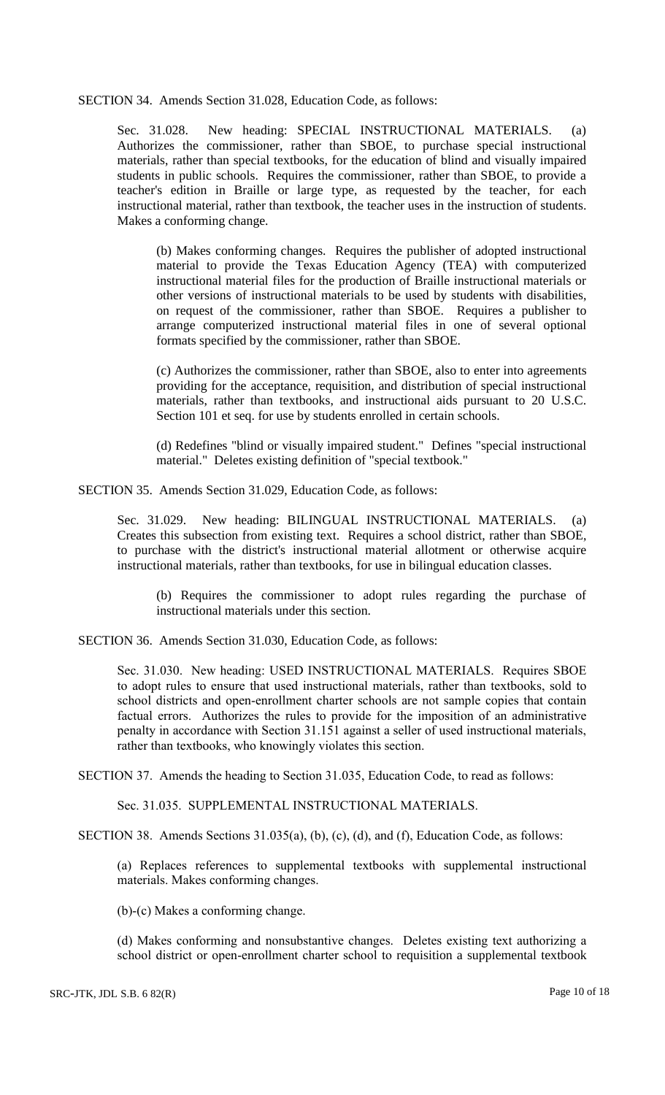SECTION 34. Amends Section 31.028, Education Code, as follows:

Sec. 31.028. New heading: SPECIAL INSTRUCTIONAL MATERIALS. (a) Authorizes the commissioner, rather than SBOE, to purchase special instructional materials, rather than special textbooks, for the education of blind and visually impaired students in public schools. Requires the commissioner, rather than SBOE, to provide a teacher's edition in Braille or large type, as requested by the teacher, for each instructional material, rather than textbook, the teacher uses in the instruction of students. Makes a conforming change.

(b) Makes conforming changes. Requires the publisher of adopted instructional material to provide the Texas Education Agency (TEA) with computerized instructional material files for the production of Braille instructional materials or other versions of instructional materials to be used by students with disabilities, on request of the commissioner, rather than SBOE. Requires a publisher to arrange computerized instructional material files in one of several optional formats specified by the commissioner, rather than SBOE.

(c) Authorizes the commissioner, rather than SBOE, also to enter into agreements providing for the acceptance, requisition, and distribution of special instructional materials, rather than textbooks, and instructional aids pursuant to 20 U.S.C. Section 101 et seq. for use by students enrolled in certain schools.

(d) Redefines "blind or visually impaired student." Defines "special instructional material." Deletes existing definition of "special textbook."

SECTION 35. Amends Section 31.029, Education Code, as follows:

Sec. 31.029. New heading: BILINGUAL INSTRUCTIONAL MATERIALS. (a) Creates this subsection from existing text. Requires a school district, rather than SBOE, to purchase with the district's instructional material allotment or otherwise acquire instructional materials, rather than textbooks, for use in bilingual education classes.

(b) Requires the commissioner to adopt rules regarding the purchase of instructional materials under this section.

SECTION 36. Amends Section 31.030, Education Code, as follows:

Sec. 31.030. New heading: USED INSTRUCTIONAL MATERIALS. Requires SBOE to adopt rules to ensure that used instructional materials, rather than textbooks, sold to school districts and open-enrollment charter schools are not sample copies that contain factual errors. Authorizes the rules to provide for the imposition of an administrative penalty in accordance with Section 31.151 against a seller of used instructional materials, rather than textbooks, who knowingly violates this section.

SECTION 37. Amends the heading to Section 31.035, Education Code, to read as follows:

Sec. 31.035. SUPPLEMENTAL INSTRUCTIONAL MATERIALS.

SECTION 38. Amends Sections 31.035(a), (b), (c), (d), and (f), Education Code, as follows:

(a) Replaces references to supplemental textbooks with supplemental instructional materials. Makes conforming changes.

(b)-(c) Makes a conforming change.

(d) Makes conforming and nonsubstantive changes. Deletes existing text authorizing a school district or open-enrollment charter school to requisition a supplemental textbook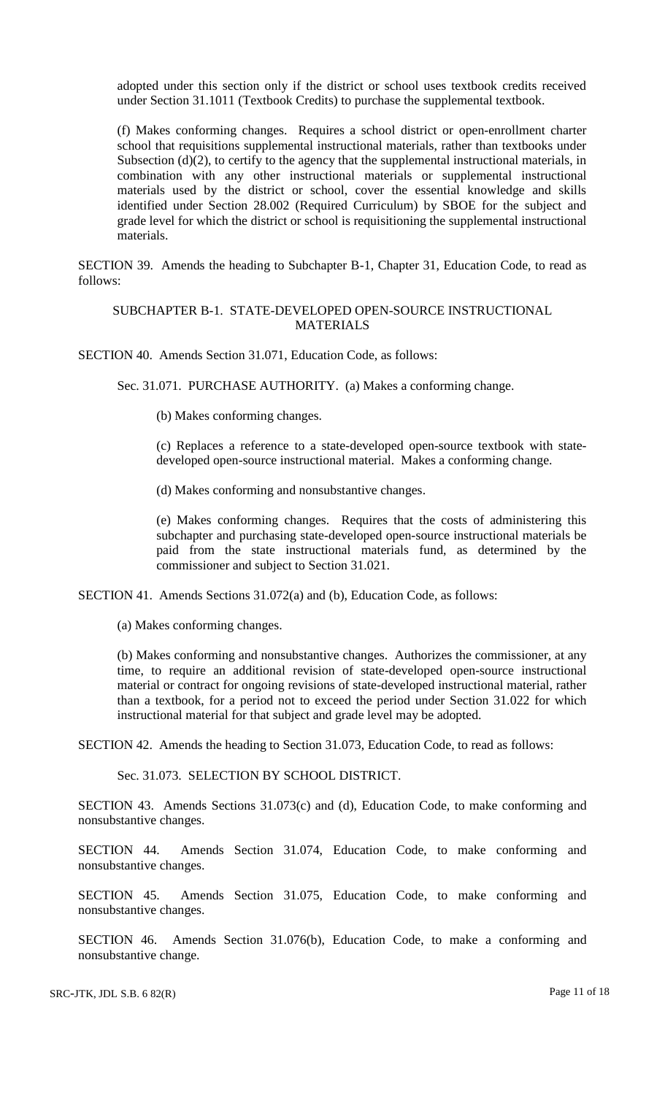adopted under this section only if the district or school uses textbook credits received under Section 31.1011 (Textbook Credits) to purchase the supplemental textbook.

(f) Makes conforming changes. Requires a school district or open-enrollment charter school that requisitions supplemental instructional materials, rather than textbooks under Subsection (d)(2), to certify to the agency that the supplemental instructional materials, in combination with any other instructional materials or supplemental instructional materials used by the district or school, cover the essential knowledge and skills identified under Section 28.002 (Required Curriculum) by SBOE for the subject and grade level for which the district or school is requisitioning the supplemental instructional materials.

SECTION 39. Amends the heading to Subchapter B-1, Chapter 31, Education Code, to read as follows:

### SUBCHAPTER B-1. STATE-DEVELOPED OPEN-SOURCE INSTRUCTIONAL MATERIALS

SECTION 40. Amends Section 31.071, Education Code, as follows:

Sec. 31.071. PURCHASE AUTHORITY. (a) Makes a conforming change.

(b) Makes conforming changes.

(c) Replaces a reference to a state-developed open-source textbook with statedeveloped open-source instructional material. Makes a conforming change.

(d) Makes conforming and nonsubstantive changes.

(e) Makes conforming changes. Requires that the costs of administering this subchapter and purchasing state-developed open-source instructional materials be paid from the state instructional materials fund, as determined by the commissioner and subject to Section 31.021.

SECTION 41. Amends Sections 31.072(a) and (b), Education Code, as follows:

(a) Makes conforming changes.

(b) Makes conforming and nonsubstantive changes. Authorizes the commissioner, at any time, to require an additional revision of state-developed open-source instructional material or contract for ongoing revisions of state-developed instructional material, rather than a textbook, for a period not to exceed the period under Section 31.022 for which instructional material for that subject and grade level may be adopted.

SECTION 42. Amends the heading to Section 31.073, Education Code, to read as follows:

Sec. 31.073. SELECTION BY SCHOOL DISTRICT.

SECTION 43. Amends Sections 31.073(c) and (d), Education Code, to make conforming and nonsubstantive changes.

SECTION 44. Amends Section 31.074, Education Code, to make conforming and nonsubstantive changes.

SECTION 45. Amends Section 31.075, Education Code, to make conforming and nonsubstantive changes.

SECTION 46. Amends Section 31.076(b), Education Code, to make a conforming and nonsubstantive change.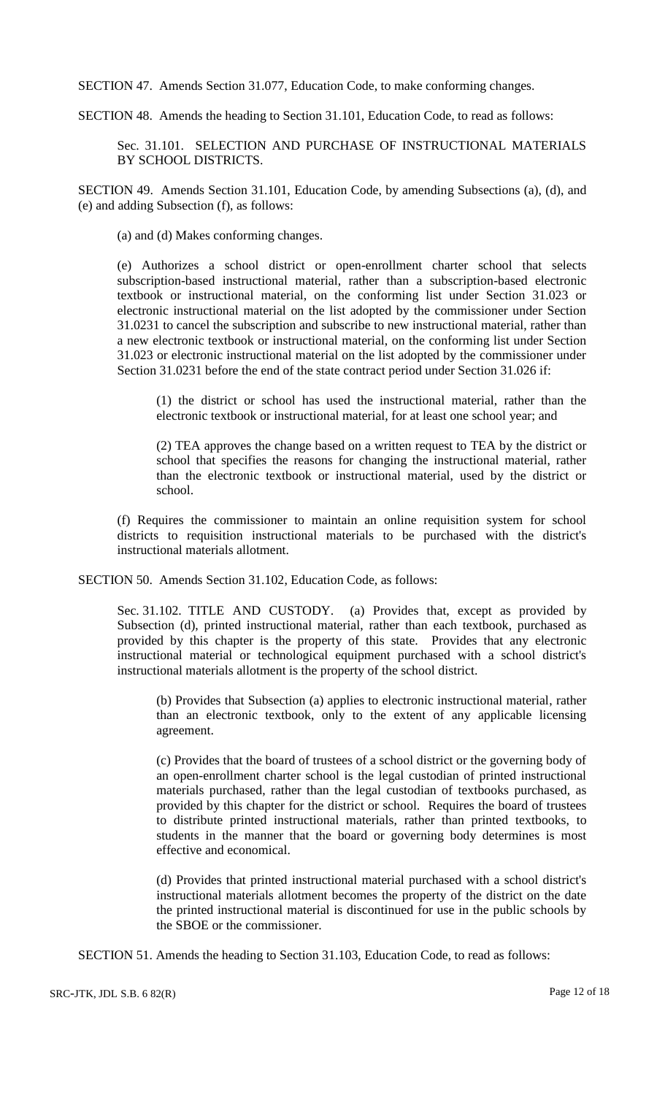SECTION 47. Amends Section 31.077, Education Code, to make conforming changes.

SECTION 48. Amends the heading to Section 31.101, Education Code, to read as follows:

Sec. 31.101. SELECTION AND PURCHASE OF INSTRUCTIONAL MATERIALS BY SCHOOL DISTRICTS.

SECTION 49. Amends Section 31.101, Education Code, by amending Subsections (a), (d), and (e) and adding Subsection (f), as follows:

(a) and (d) Makes conforming changes.

(e) Authorizes a school district or open-enrollment charter school that selects subscription-based instructional material, rather than a subscription-based electronic textbook or instructional material, on the conforming list under Section 31.023 or electronic instructional material on the list adopted by the commissioner under Section 31.0231 to cancel the subscription and subscribe to new instructional material, rather than a new electronic textbook or instructional material, on the conforming list under Section 31.023 or electronic instructional material on the list adopted by the commissioner under Section 31.0231 before the end of the state contract period under Section 31.026 if:

(1) the district or school has used the instructional material, rather than the electronic textbook or instructional material, for at least one school year; and

(2) TEA approves the change based on a written request to TEA by the district or school that specifies the reasons for changing the instructional material, rather than the electronic textbook or instructional material, used by the district or school.

(f) Requires the commissioner to maintain an online requisition system for school districts to requisition instructional materials to be purchased with the district's instructional materials allotment.

SECTION 50. Amends Section 31.102, Education Code, as follows:

Sec. 31.102. TITLE AND CUSTODY. (a) Provides that, except as provided by Subsection (d), printed instructional material, rather than each textbook, purchased as provided by this chapter is the property of this state. Provides that any electronic instructional material or technological equipment purchased with a school district's instructional materials allotment is the property of the school district.

(b) Provides that Subsection (a) applies to electronic instructional material, rather than an electronic textbook, only to the extent of any applicable licensing agreement.

(c) Provides that the board of trustees of a school district or the governing body of an open-enrollment charter school is the legal custodian of printed instructional materials purchased, rather than the legal custodian of textbooks purchased, as provided by this chapter for the district or school. Requires the board of trustees to distribute printed instructional materials, rather than printed textbooks, to students in the manner that the board or governing body determines is most effective and economical.

(d) Provides that printed instructional material purchased with a school district's instructional materials allotment becomes the property of the district on the date the printed instructional material is discontinued for use in the public schools by the SBOE or the commissioner.

SECTION 51. Amends the heading to Section 31.103, Education Code, to read as follows: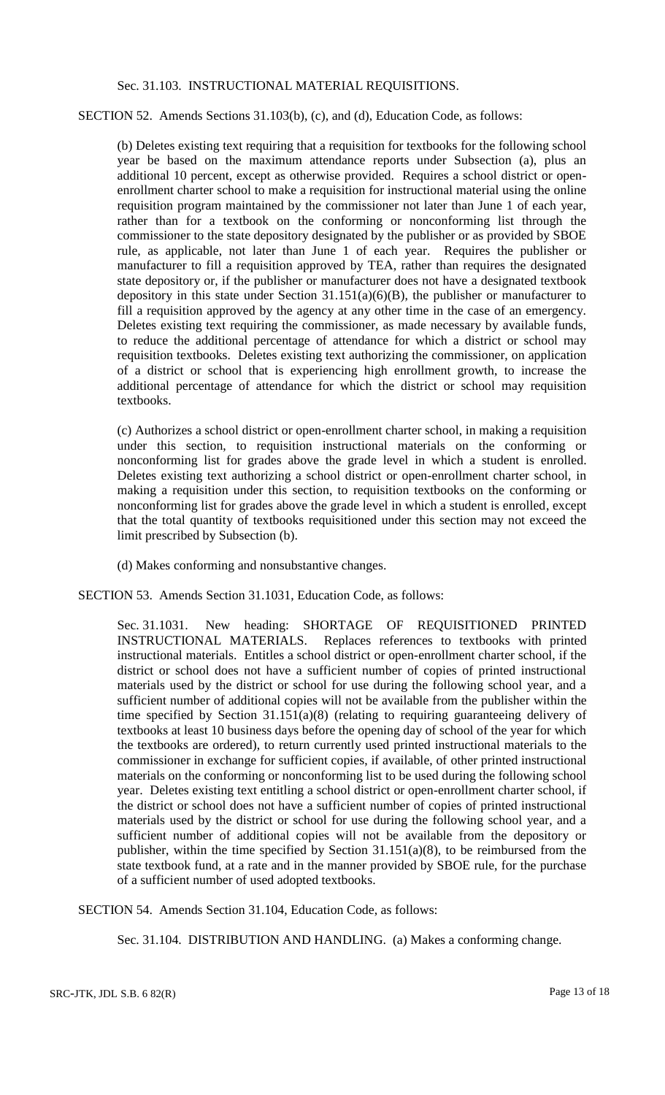#### Sec. 31.103. INSTRUCTIONAL MATERIAL REQUISITIONS.

#### SECTION 52. Amends Sections 31.103(b), (c), and (d), Education Code, as follows:

(b) Deletes existing text requiring that a requisition for textbooks for the following school year be based on the maximum attendance reports under Subsection (a), plus an additional 10 percent, except as otherwise provided. Requires a school district or openenrollment charter school to make a requisition for instructional material using the online requisition program maintained by the commissioner not later than June 1 of each year, rather than for a textbook on the conforming or nonconforming list through the commissioner to the state depository designated by the publisher or as provided by SBOE rule, as applicable, not later than June 1 of each year. Requires the publisher or manufacturer to fill a requisition approved by TEA, rather than requires the designated state depository or, if the publisher or manufacturer does not have a designated textbook depository in this state under Section  $31.151(a)(6)(B)$ , the publisher or manufacturer to fill a requisition approved by the agency at any other time in the case of an emergency. Deletes existing text requiring the commissioner, as made necessary by available funds, to reduce the additional percentage of attendance for which a district or school may requisition textbooks. Deletes existing text authorizing the commissioner, on application of a district or school that is experiencing high enrollment growth, to increase the additional percentage of attendance for which the district or school may requisition textbooks.

(c) Authorizes a school district or open-enrollment charter school, in making a requisition under this section, to requisition instructional materials on the conforming or nonconforming list for grades above the grade level in which a student is enrolled. Deletes existing text authorizing a school district or open-enrollment charter school, in making a requisition under this section, to requisition textbooks on the conforming or nonconforming list for grades above the grade level in which a student is enrolled, except that the total quantity of textbooks requisitioned under this section may not exceed the limit prescribed by Subsection (b).

- (d) Makes conforming and nonsubstantive changes.
- SECTION 53. Amends Section 31.1031, Education Code, as follows:

Sec. 31.1031. New heading: SHORTAGE OF REQUISITIONED PRINTED INSTRUCTIONAL MATERIALS. Replaces references to textbooks with printed instructional materials. Entitles a school district or open-enrollment charter school, if the district or school does not have a sufficient number of copies of printed instructional materials used by the district or school for use during the following school year, and a sufficient number of additional copies will not be available from the publisher within the time specified by Section 31.151(a)(8) (relating to requiring guaranteeing delivery of textbooks at least 10 business days before the opening day of school of the year for which the textbooks are ordered), to return currently used printed instructional materials to the commissioner in exchange for sufficient copies, if available, of other printed instructional materials on the conforming or nonconforming list to be used during the following school year. Deletes existing text entitling a school district or open-enrollment charter school, if the district or school does not have a sufficient number of copies of printed instructional materials used by the district or school for use during the following school year, and a sufficient number of additional copies will not be available from the depository or publisher, within the time specified by Section  $31.151(a)(8)$ , to be reimbursed from the state textbook fund, at a rate and in the manner provided by SBOE rule, for the purchase of a sufficient number of used adopted textbooks.

SECTION 54. Amends Section 31.104, Education Code, as follows:

Sec. 31.104. DISTRIBUTION AND HANDLING. (a) Makes a conforming change.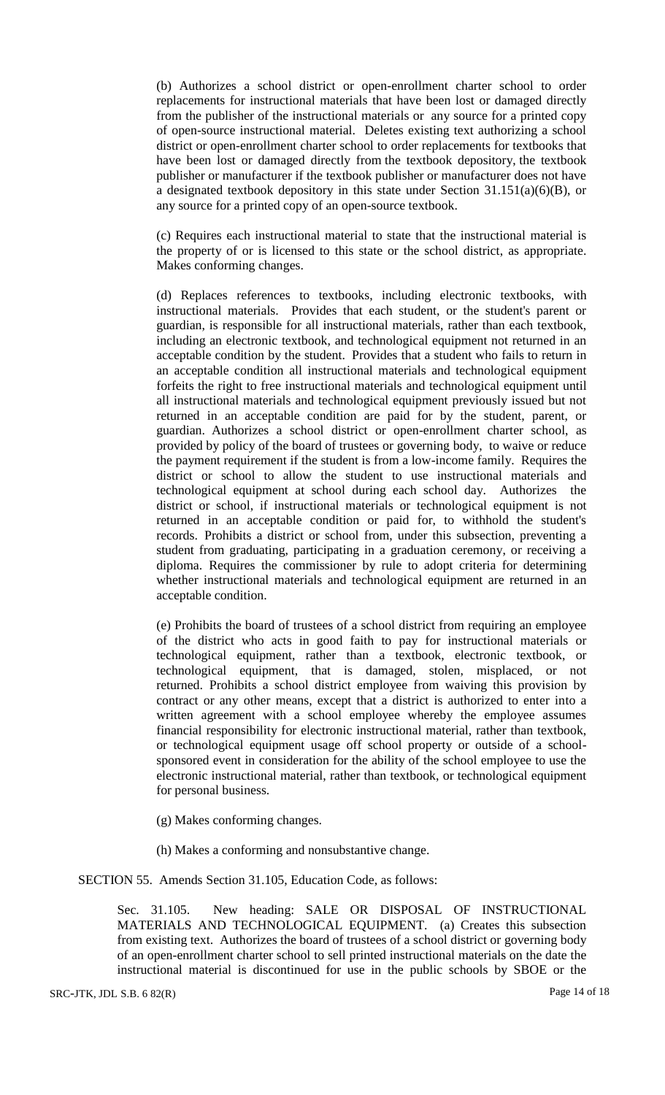(b) Authorizes a school district or open-enrollment charter school to order replacements for instructional materials that have been lost or damaged directly from the publisher of the instructional materials or any source for a printed copy of open-source instructional material. Deletes existing text authorizing a school district or open-enrollment charter school to order replacements for textbooks that have been lost or damaged directly from the textbook depository, the textbook publisher or manufacturer if the textbook publisher or manufacturer does not have a designated textbook depository in this state under Section 31.151(a)(6)(B), or any source for a printed copy of an open-source textbook.

(c) Requires each instructional material to state that the instructional material is the property of or is licensed to this state or the school district, as appropriate. Makes conforming changes.

(d) Replaces references to textbooks, including electronic textbooks, with instructional materials. Provides that each student, or the student's parent or guardian, is responsible for all instructional materials, rather than each textbook, including an electronic textbook, and technological equipment not returned in an acceptable condition by the student. Provides that a student who fails to return in an acceptable condition all instructional materials and technological equipment forfeits the right to free instructional materials and technological equipment until all instructional materials and technological equipment previously issued but not returned in an acceptable condition are paid for by the student, parent, or guardian. Authorizes a school district or open-enrollment charter school, as provided by policy of the board of trustees or governing body, to waive or reduce the payment requirement if the student is from a low-income family. Requires the district or school to allow the student to use instructional materials and technological equipment at school during each school day. Authorizes the district or school, if instructional materials or technological equipment is not returned in an acceptable condition or paid for, to withhold the student's records. Prohibits a district or school from, under this subsection, preventing a student from graduating, participating in a graduation ceremony, or receiving a diploma. Requires the commissioner by rule to adopt criteria for determining whether instructional materials and technological equipment are returned in an acceptable condition.

(e) Prohibits the board of trustees of a school district from requiring an employee of the district who acts in good faith to pay for instructional materials or technological equipment, rather than a textbook, electronic textbook, or technological equipment, that is damaged, stolen, misplaced, or not returned. Prohibits a school district employee from waiving this provision by contract or any other means, except that a district is authorized to enter into a written agreement with a school employee whereby the employee assumes financial responsibility for electronic instructional material, rather than textbook, or technological equipment usage off school property or outside of a schoolsponsored event in consideration for the ability of the school employee to use the electronic instructional material, rather than textbook, or technological equipment for personal business.

(g) Makes conforming changes.

(h) Makes a conforming and nonsubstantive change.

SECTION 55. Amends Section 31.105, Education Code, as follows:

Sec. 31.105. New heading: SALE OR DISPOSAL OF INSTRUCTIONAL MATERIALS AND TECHNOLOGICAL EQUIPMENT. (a) Creates this subsection from existing text. Authorizes the board of trustees of a school district or governing body of an open-enrollment charter school to sell printed instructional materials on the date the instructional material is discontinued for use in the public schools by SBOE or the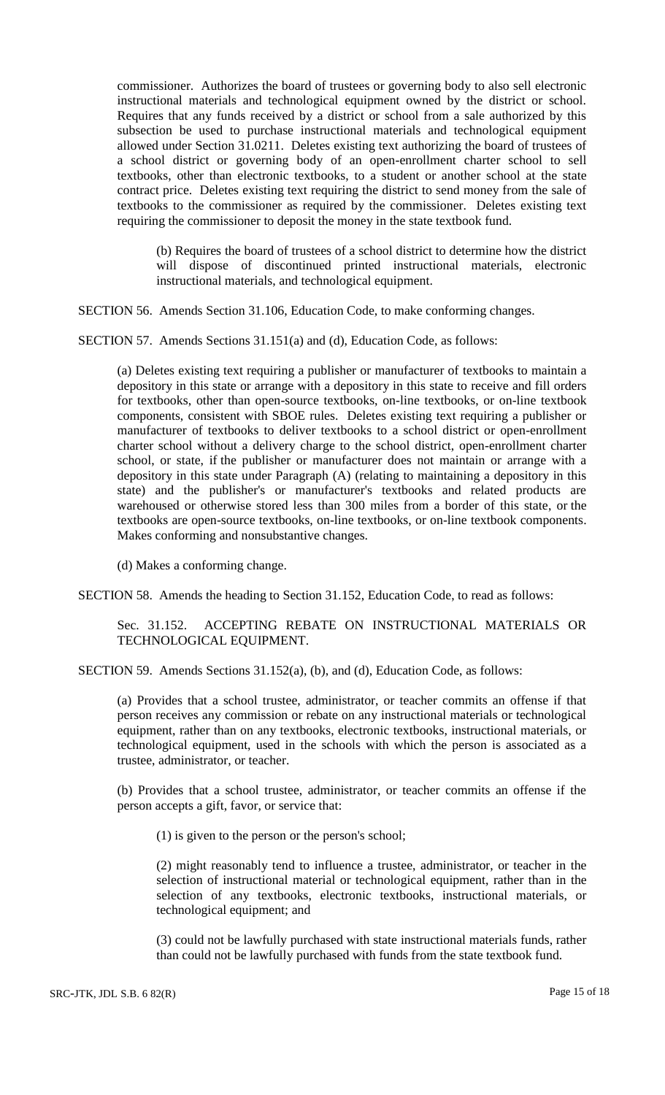commissioner. Authorizes the board of trustees or governing body to also sell electronic instructional materials and technological equipment owned by the district or school. Requires that any funds received by a district or school from a sale authorized by this subsection be used to purchase instructional materials and technological equipment allowed under Section 31.0211. Deletes existing text authorizing the board of trustees of a school district or governing body of an open-enrollment charter school to sell textbooks, other than electronic textbooks, to a student or another school at the state contract price. Deletes existing text requiring the district to send money from the sale of textbooks to the commissioner as required by the commissioner. Deletes existing text requiring the commissioner to deposit the money in the state textbook fund.

(b) Requires the board of trustees of a school district to determine how the district will dispose of discontinued printed instructional materials, electronic instructional materials, and technological equipment.

SECTION 56. Amends Section 31.106, Education Code, to make conforming changes.

SECTION 57. Amends Sections 31.151(a) and (d), Education Code, as follows:

(a) Deletes existing text requiring a publisher or manufacturer of textbooks to maintain a depository in this state or arrange with a depository in this state to receive and fill orders for textbooks, other than open-source textbooks, on-line textbooks, or on-line textbook components, consistent with SBOE rules. Deletes existing text requiring a publisher or manufacturer of textbooks to deliver textbooks to a school district or open-enrollment charter school without a delivery charge to the school district, open-enrollment charter school, or state, if the publisher or manufacturer does not maintain or arrange with a depository in this state under Paragraph (A) (relating to maintaining a depository in this state) and the publisher's or manufacturer's textbooks and related products are warehoused or otherwise stored less than 300 miles from a border of this state, or the textbooks are open-source textbooks, on-line textbooks, or on-line textbook components. Makes conforming and nonsubstantive changes.

(d) Makes a conforming change.

SECTION 58. Amends the heading to Section 31.152, Education Code, to read as follows:

Sec. 31.152. ACCEPTING REBATE ON INSTRUCTIONAL MATERIALS OR TECHNOLOGICAL EQUIPMENT.

SECTION 59. Amends Sections 31.152(a), (b), and (d), Education Code, as follows:

(a) Provides that a school trustee, administrator, or teacher commits an offense if that person receives any commission or rebate on any instructional materials or technological equipment, rather than on any textbooks, electronic textbooks, instructional materials, or technological equipment, used in the schools with which the person is associated as a trustee, administrator, or teacher.

(b) Provides that a school trustee, administrator, or teacher commits an offense if the person accepts a gift, favor, or service that:

(1) is given to the person or the person's school;

(2) might reasonably tend to influence a trustee, administrator, or teacher in the selection of instructional material or technological equipment, rather than in the selection of any textbooks, electronic textbooks, instructional materials, or technological equipment; and

(3) could not be lawfully purchased with state instructional materials funds, rather than could not be lawfully purchased with funds from the state textbook fund.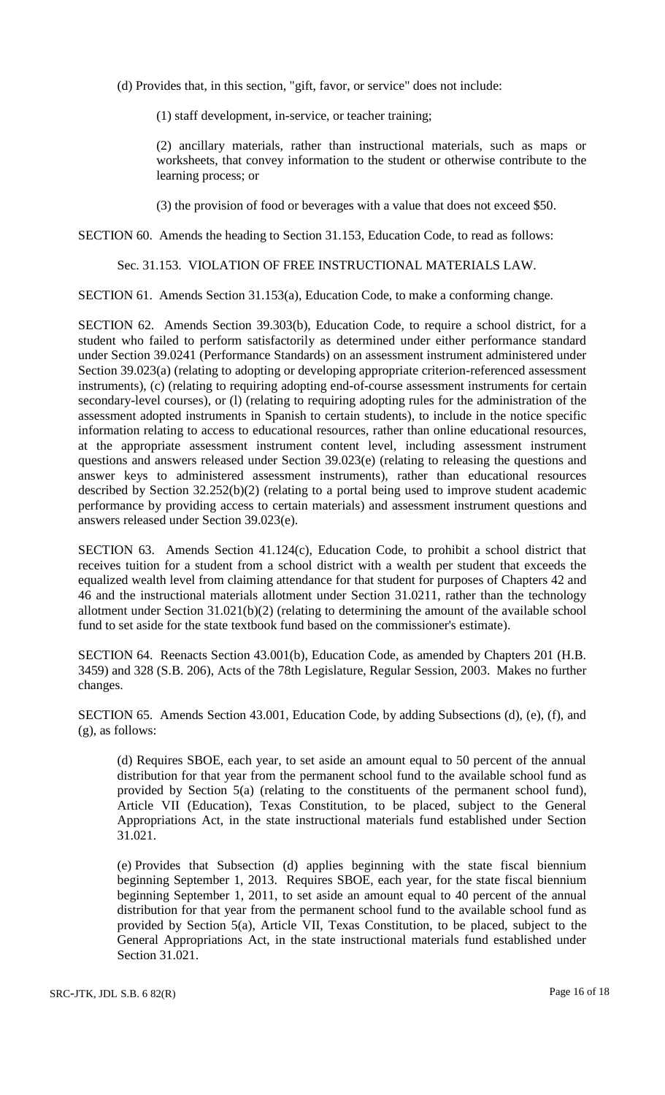(d) Provides that, in this section, "gift, favor, or service" does not include:

(1) staff development, in-service, or teacher training;

(2) ancillary materials, rather than instructional materials, such as maps or worksheets, that convey information to the student or otherwise contribute to the learning process; or

(3) the provision of food or beverages with a value that does not exceed \$50.

SECTION 60. Amends the heading to Section 31.153, Education Code, to read as follows:

# Sec. 31.153. VIOLATION OF FREE INSTRUCTIONAL MATERIALS LAW.

SECTION 61. Amends Section 31.153(a), Education Code, to make a conforming change.

SECTION 62. Amends Section 39.303(b), Education Code, to require a school district, for a student who failed to perform satisfactorily as determined under either performance standard under Section 39.0241 (Performance Standards) on an assessment instrument administered under Section 39.023(a) (relating to adopting or developing appropriate criterion-referenced assessment instruments), (c) (relating to requiring adopting end-of-course assessment instruments for certain secondary-level courses), or (l) (relating to requiring adopting rules for the administration of the assessment adopted instruments in Spanish to certain students), to include in the notice specific information relating to access to educational resources, rather than online educational resources, at the appropriate assessment instrument content level, including assessment instrument questions and answers released under Section 39.023(e) (relating to releasing the questions and answer keys to administered assessment instruments), rather than educational resources described by Section 32.252(b)(2) (relating to a portal being used to improve student academic performance by providing access to certain materials) and assessment instrument questions and answers released under Section 39.023(e).

SECTION 63. Amends Section 41.124(c), Education Code, to prohibit a school district that receives tuition for a student from a school district with a wealth per student that exceeds the equalized wealth level from claiming attendance for that student for purposes of Chapters 42 and 46 and the instructional materials allotment under Section 31.0211, rather than the technology allotment under Section 31.021(b)(2) (relating to determining the amount of the available school fund to set aside for the state textbook fund based on the commissioner's estimate).

SECTION 64. Reenacts Section 43.001(b), Education Code, as amended by Chapters 201 (H.B. 3459) and 328 (S.B. 206), Acts of the 78th Legislature, Regular Session, 2003. Makes no further changes.

SECTION 65. Amends Section 43.001, Education Code, by adding Subsections (d), (e), (f), and (g), as follows:

(d) Requires SBOE, each year, to set aside an amount equal to 50 percent of the annual distribution for that year from the permanent school fund to the available school fund as provided by Section 5(a) (relating to the constituents of the permanent school fund), Article VII (Education), Texas Constitution, to be placed, subject to the General Appropriations Act, in the state instructional materials fund established under Section 31.021.

(e) Provides that Subsection (d) applies beginning with the state fiscal biennium beginning September 1, 2013. Requires SBOE, each year, for the state fiscal biennium beginning September 1, 2011, to set aside an amount equal to 40 percent of the annual distribution for that year from the permanent school fund to the available school fund as provided by Section 5(a), Article VII, Texas Constitution, to be placed, subject to the General Appropriations Act, in the state instructional materials fund established under Section 31.021.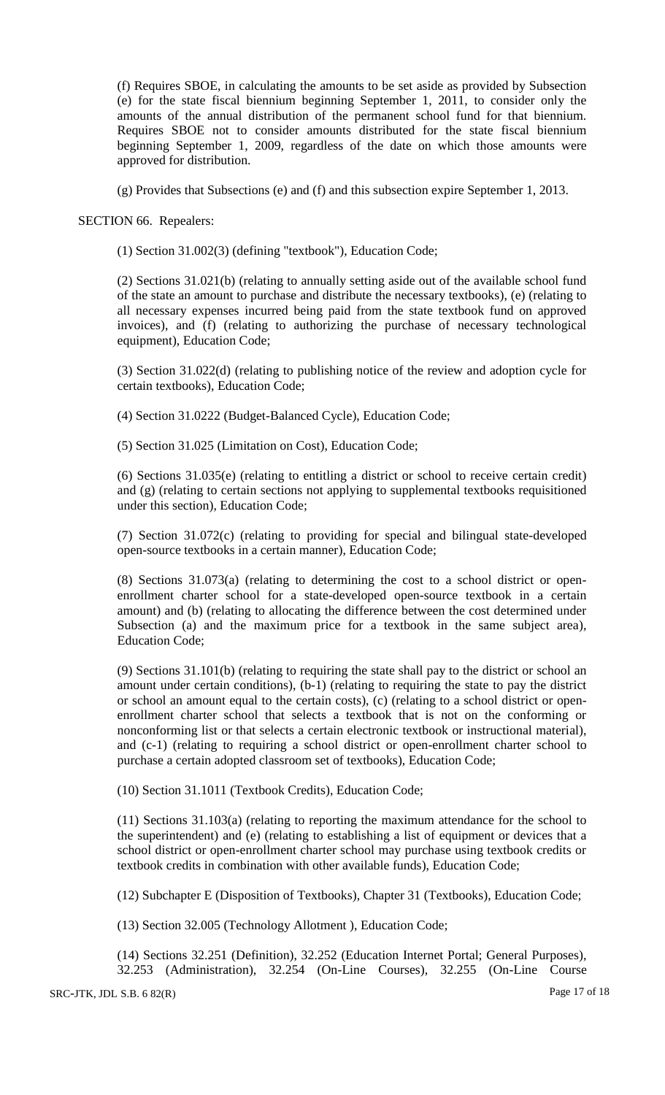(f) Requires SBOE, in calculating the amounts to be set aside as provided by Subsection (e) for the state fiscal biennium beginning September 1, 2011, to consider only the amounts of the annual distribution of the permanent school fund for that biennium. Requires SBOE not to consider amounts distributed for the state fiscal biennium beginning September 1, 2009, regardless of the date on which those amounts were approved for distribution.

(g) Provides that Subsections (e) and (f) and this subsection expire September 1, 2013.

SECTION 66. Repealers:

(1) Section 31.002(3) (defining "textbook"), Education Code;

(2) Sections 31.021(b) (relating to annually setting aside out of the available school fund of the state an amount to purchase and distribute the necessary textbooks), (e) (relating to all necessary expenses incurred being paid from the state textbook fund on approved invoices), and (f) (relating to authorizing the purchase of necessary technological equipment), Education Code;

(3) Section 31.022(d) (relating to publishing notice of the review and adoption cycle for certain textbooks), Education Code;

(4) Section 31.0222 (Budget-Balanced Cycle), Education Code;

(5) Section 31.025 (Limitation on Cost), Education Code;

(6) Sections 31.035(e) (relating to entitling a district or school to receive certain credit) and (g) (relating to certain sections not applying to supplemental textbooks requisitioned under this section), Education Code;

(7) Section 31.072(c) (relating to providing for special and bilingual state-developed open-source textbooks in a certain manner), Education Code;

(8) Sections 31.073(a) (relating to determining the cost to a school district or openenrollment charter school for a state-developed open-source textbook in a certain amount) and (b) (relating to allocating the difference between the cost determined under Subsection (a) and the maximum price for a textbook in the same subject area), Education Code;

(9) Sections 31.101(b) (relating to requiring the state shall pay to the district or school an amount under certain conditions), (b-1) (relating to requiring the state to pay the district or school an amount equal to the certain costs), (c) (relating to a school district or openenrollment charter school that selects a textbook that is not on the conforming or nonconforming list or that selects a certain electronic textbook or instructional material), and (c-1) (relating to requiring a school district or open-enrollment charter school to purchase a certain adopted classroom set of textbooks), Education Code;

(10) Section 31.1011 (Textbook Credits), Education Code;

(11) Sections 31.103(a) (relating to reporting the maximum attendance for the school to the superintendent) and (e) (relating to establishing a list of equipment or devices that a school district or open-enrollment charter school may purchase using textbook credits or textbook credits in combination with other available funds), Education Code;

(12) Subchapter E (Disposition of Textbooks), Chapter 31 (Textbooks), Education Code;

(13) Section 32.005 (Technology Allotment ), Education Code;

(14) Sections 32.251 (Definition), 32.252 (Education Internet Portal; General Purposes), 32.253 (Administration), 32.254 (On-Line Courses), 32.255 (On-Line Course